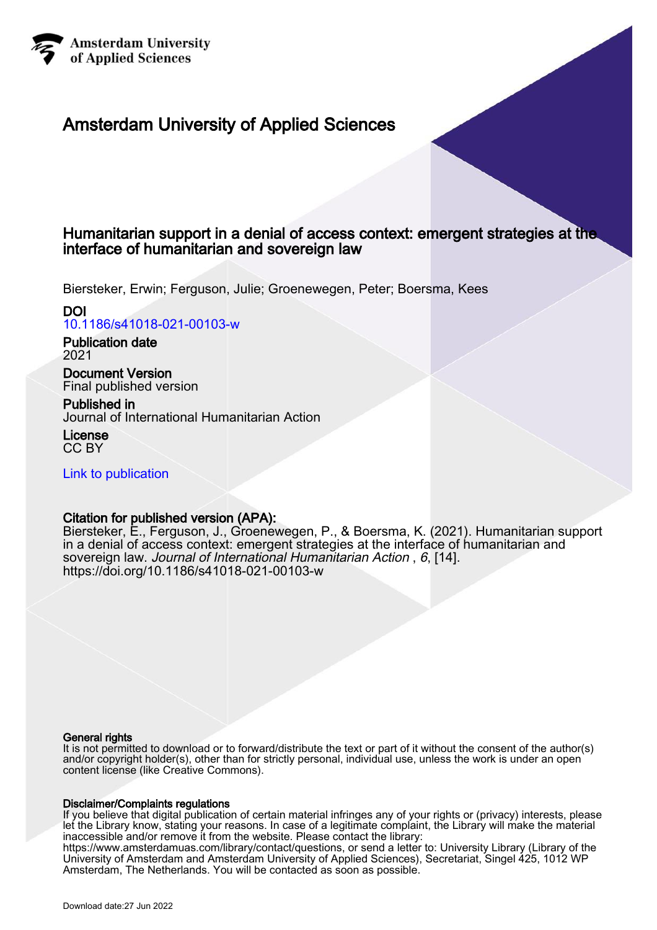

# Amsterdam University of Applied Sciences

# Humanitarian support in a denial of access context: emergent strategies at the interface of humanitarian and sovereign law

Biersteker, Erwin; Ferguson, Julie; Groenewegen, Peter; Boersma, Kees

# DOI

[10.1186/s41018-021-00103-w](https://doi.org/10.1186/s41018-021-00103-w)

## Publication date 2021

Document Version Final published version

# Published in

Journal of International Humanitarian Action

License CC BY

[Link to publication](https://research.hva.nl/en/publications/f8cffcf3-960a-47ca-9918-d98f77653b49)

# Citation for published version (APA):

Biersteker, E., Ferguson, J., Groenewegen, P., & Boersma, K. (2021). Humanitarian support in a denial of access context: emergent strategies at the interface of humanitarian and sovereign law. Journal of International Humanitarian Action , 6, [14]. <https://doi.org/10.1186/s41018-021-00103-w>

# General rights

It is not permitted to download or to forward/distribute the text or part of it without the consent of the author(s) and/or copyright holder(s), other than for strictly personal, individual use, unless the work is under an open content license (like Creative Commons).

# Disclaimer/Complaints regulations

If you believe that digital publication of certain material infringes any of your rights or (privacy) interests, please let the Library know, stating your reasons. In case of a legitimate complaint, the Library will make the material inaccessible and/or remove it from the website. Please contact the library:

https://www.amsterdamuas.com/library/contact/questions, or send a letter to: University Library (Library of the University of Amsterdam and Amsterdam University of Applied Sciences), Secretariat, Singel 425, 1012 WP Amsterdam, The Netherlands. You will be contacted as soon as possible.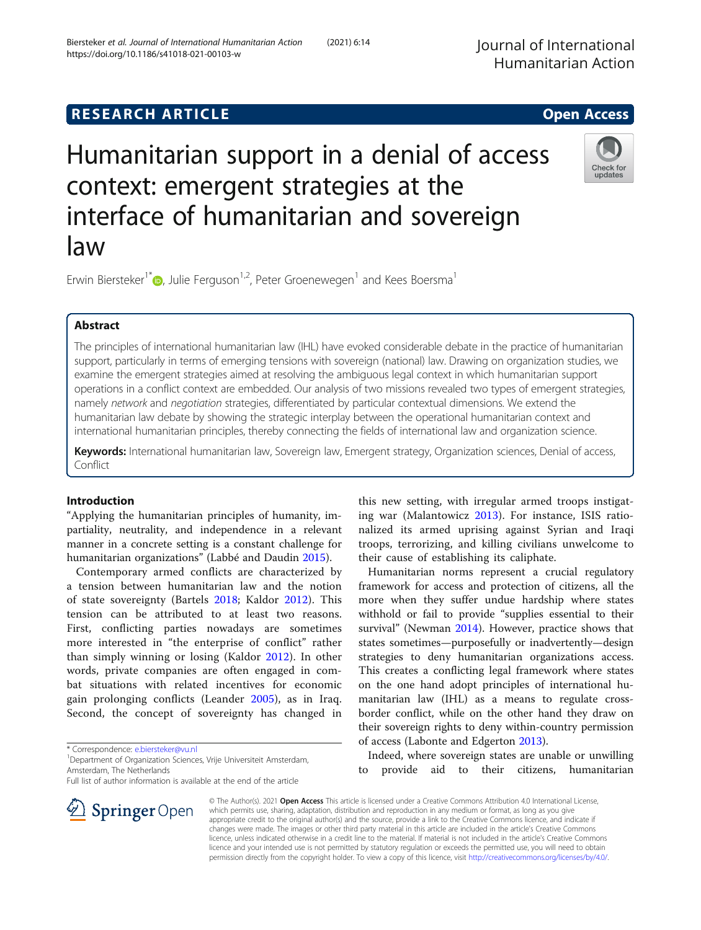# **RESEARCH ARTICLE Example 2014 12:30 The SEAR CH ACCESS**

# Humanitarian support in a denial of access context: emergent strategies at the interface of humanitarian and sovereign law

Erwin Biersteker<sup>1\*</sup><sup>D</sup>, Julie Ferguson<sup>1,2</sup>, Peter Groenewegen<sup>1</sup> and Kees Boersma<sup>1</sup>

# Abstract

The principles of international humanitarian law (IHL) have evoked considerable debate in the practice of humanitarian support, particularly in terms of emerging tensions with sovereign (national) law. Drawing on organization studies, we examine the emergent strategies aimed at resolving the ambiguous legal context in which humanitarian support operations in a conflict context are embedded. Our analysis of two missions revealed two types of emergent strategies, namely network and negotiation strategies, differentiated by particular contextual dimensions. We extend the humanitarian law debate by showing the strategic interplay between the operational humanitarian context and international humanitarian principles, thereby connecting the fields of international law and organization science.

Keywords: International humanitarian law, Sovereign law, Emergent strategy, Organization sciences, Denial of access, Conflict

#### Introduction

"Applying the humanitarian principles of humanity, impartiality, neutrality, and independence in a relevant manner in a concrete setting is a constant challenge for humanitarian organizations" (Labbé and Daudin [2015\)](#page-14-0).

Contemporary armed conflicts are characterized by a tension between humanitarian law and the notion of state sovereignty (Bartels [2018](#page-13-0); Kaldor [2012\)](#page-14-0). This tension can be attributed to at least two reasons. First, conflicting parties nowadays are sometimes more interested in "the enterprise of conflict" rather than simply winning or losing (Kaldor [2012\)](#page-14-0). In other words, private companies are often engaged in combat situations with related incentives for economic gain prolonging conflicts (Leander [2005](#page-14-0)), as in Iraq. Second, the concept of sovereignty has changed in

\* Correspondence: [e.biersteker@vu.nl](mailto:e.biersteker@vu.nl) <sup>1</sup>

**Springer** Open

<sup>1</sup> Department of Organization Sciences, Vrije Universiteit Amsterdam, Amsterdam, The Netherlands

Full list of author information is available at the end of the article

this new setting, with irregular armed troops instigating war (Malantowicz [2013\)](#page-14-0). For instance, ISIS rationalized its armed uprising against Syrian and Iraqi troops, terrorizing, and killing civilians unwelcome to their cause of establishing its caliphate.

Humanitarian norms represent a crucial regulatory framework for access and protection of citizens, all the more when they suffer undue hardship where states withhold or fail to provide "supplies essential to their survival" (Newman [2014\)](#page-14-0). However, practice shows that states sometimes—purposefully or inadvertently—design strategies to deny humanitarian organizations access. This creates a conflicting legal framework where states on the one hand adopt principles of international humanitarian law (IHL) as a means to regulate crossborder conflict, while on the other hand they draw on their sovereign rights to deny within-country permission of access (Labonte and Edgerton [2013\)](#page-14-0).

Indeed, where sovereign states are unable or unwilling to provide aid to their citizens, humanitarian

© The Author(s). 2021 Open Access This article is licensed under a Creative Commons Attribution 4.0 International License, which permits use, sharing, adaptation, distribution and reproduction in any medium or format, as long as you give appropriate credit to the original author(s) and the source, provide a link to the Creative Commons licence, and indicate if changes were made. The images or other third party material in this article are included in the article's Creative Commons licence, unless indicated otherwise in a credit line to the material. If material is not included in the article's Creative Commons licence and your intended use is not permitted by statutory regulation or exceeds the permitted use, you will need to obtain permission directly from the copyright holder. To view a copy of this licence, visit <http://creativecommons.org/licenses/by/4.0/>.





updates

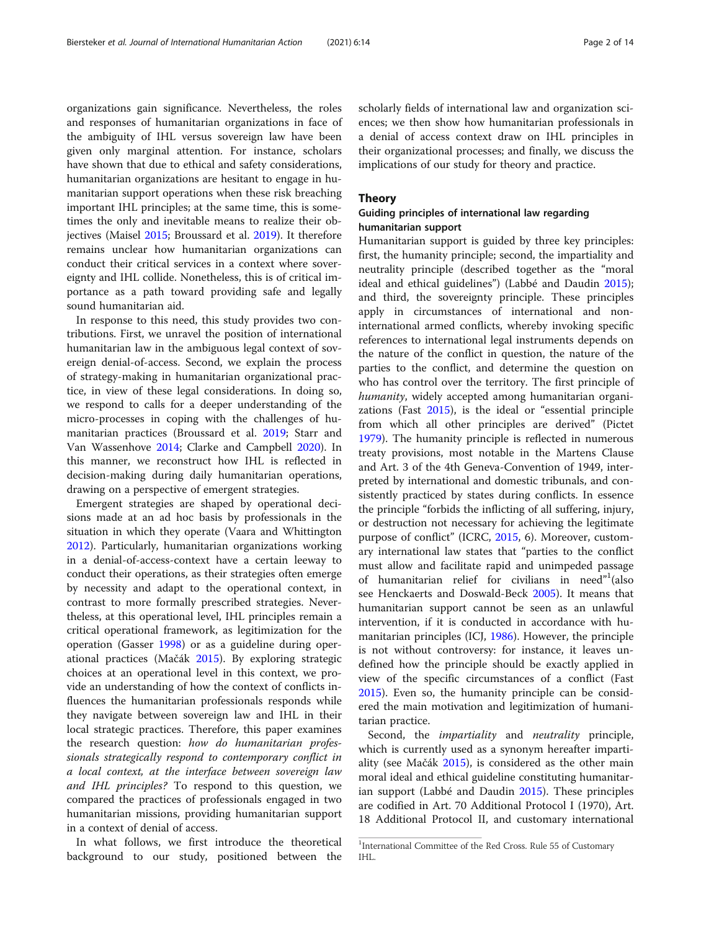organizations gain significance. Nevertheless, the roles and responses of humanitarian organizations in face of the ambiguity of IHL versus sovereign law have been given only marginal attention. For instance, scholars have shown that due to ethical and safety considerations, humanitarian organizations are hesitant to engage in humanitarian support operations when these risk breaching important IHL principles; at the same time, this is sometimes the only and inevitable means to realize their objectives (Maisel [2015;](#page-14-0) Broussard et al. [2019](#page-13-0)). It therefore remains unclear how humanitarian organizations can conduct their critical services in a context where sovereignty and IHL collide. Nonetheless, this is of critical importance as a path toward providing safe and legally sound humanitarian aid.

In response to this need, this study provides two contributions. First, we unravel the position of international humanitarian law in the ambiguous legal context of sovereign denial-of-access. Second, we explain the process of strategy-making in humanitarian organizational practice, in view of these legal considerations. In doing so, we respond to calls for a deeper understanding of the micro-processes in coping with the challenges of humanitarian practices (Broussard et al. [2019](#page-13-0); Starr and Van Wassenhove [2014;](#page-14-0) Clarke and Campbell [2020](#page-14-0)). In this manner, we reconstruct how IHL is reflected in decision-making during daily humanitarian operations, drawing on a perspective of emergent strategies.

Emergent strategies are shaped by operational decisions made at an ad hoc basis by professionals in the situation in which they operate (Vaara and Whittington [2012](#page-14-0)). Particularly, humanitarian organizations working in a denial-of-access-context have a certain leeway to conduct their operations, as their strategies often emerge by necessity and adapt to the operational context, in contrast to more formally prescribed strategies. Nevertheless, at this operational level, IHL principles remain a critical operational framework, as legitimization for the operation (Gasser [1998](#page-14-0)) or as a guideline during operational practices (Mačák [2015](#page-14-0)). By exploring strategic choices at an operational level in this context, we provide an understanding of how the context of conflicts influences the humanitarian professionals responds while they navigate between sovereign law and IHL in their local strategic practices. Therefore, this paper examines the research question: how do humanitarian professionals strategically respond to contemporary conflict in a local context, at the interface between sovereign law and IHL principles? To respond to this question, we compared the practices of professionals engaged in two humanitarian missions, providing humanitarian support in a context of denial of access.

In what follows, we first introduce the theoretical background to our study, positioned between the scholarly fields of international law and organization sciences; we then show how humanitarian professionals in a denial of access context draw on IHL principles in their organizational processes; and finally, we discuss the implications of our study for theory and practice.

#### Theory

## Guiding principles of international law regarding humanitarian support

Humanitarian support is guided by three key principles: first, the humanity principle; second, the impartiality and neutrality principle (described together as the "moral ideal and ethical guidelines") (Labbé and Daudin [2015](#page-14-0)); and third, the sovereignty principle. These principles apply in circumstances of international and noninternational armed conflicts, whereby invoking specific references to international legal instruments depends on the nature of the conflict in question, the nature of the parties to the conflict, and determine the question on who has control over the territory. The first principle of humanity, widely accepted among humanitarian organizations (Fast [2015\)](#page-14-0), is the ideal or "essential principle from which all other principles are derived" (Pictet [1979](#page-14-0)). The humanity principle is reflected in numerous treaty provisions, most notable in the Martens Clause and Art. 3 of the 4th Geneva-Convention of 1949, interpreted by international and domestic tribunals, and consistently practiced by states during conflicts. In essence the principle "forbids the inflicting of all suffering, injury, or destruction not necessary for achieving the legitimate purpose of conflict" (ICRC, [2015](#page-14-0), 6). Moreover, customary international law states that "parties to the conflict must allow and facilitate rapid and unimpeded passage of humanitarian relief for civilians in need"<sup>1</sup>(also see Henckaerts and Doswald-Beck [2005](#page-14-0)). It means that humanitarian support cannot be seen as an unlawful intervention, if it is conducted in accordance with humanitarian principles (ICJ, [1986](#page-14-0)). However, the principle is not without controversy: for instance, it leaves undefined how the principle should be exactly applied in view of the specific circumstances of a conflict (Fast [2015](#page-14-0)). Even so, the humanity principle can be considered the main motivation and legitimization of humanitarian practice.

Second, the impartiality and neutrality principle, which is currently used as a synonym hereafter impartiality (see Mačák [2015](#page-14-0)), is considered as the other main moral ideal and ethical guideline constituting humanitarian support (Labbé and Daudin [2015](#page-14-0)). These principles are codified in Art. 70 Additional Protocol I (1970), Art. 18 Additional Protocol II, and customary international

<sup>&</sup>lt;sup>1</sup>International Committee of the Red Cross. Rule 55 of Customary IHL.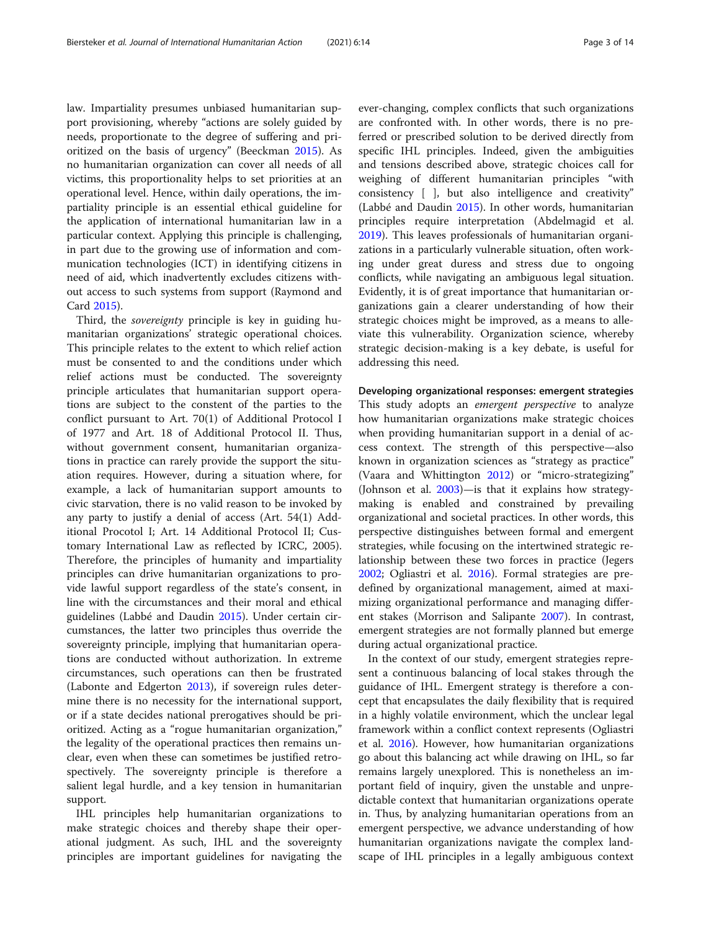law. Impartiality presumes unbiased humanitarian support provisioning, whereby "actions are solely guided by needs, proportionate to the degree of suffering and prioritized on the basis of urgency" (Beeckman [2015](#page-13-0)). As no humanitarian organization can cover all needs of all victims, this proportionality helps to set priorities at an operational level. Hence, within daily operations, the impartiality principle is an essential ethical guideline for the application of international humanitarian law in a particular context. Applying this principle is challenging, in part due to the growing use of information and communication technologies (ICT) in identifying citizens in need of aid, which inadvertently excludes citizens without access to such systems from support (Raymond and Card [2015](#page-14-0)).

Third, the sovereignty principle is key in guiding humanitarian organizations' strategic operational choices. This principle relates to the extent to which relief action must be consented to and the conditions under which relief actions must be conducted. The sovereignty principle articulates that humanitarian support operations are subject to the constent of the parties to the conflict pursuant to Art. 70(1) of Additional Protocol I of 1977 and Art. 18 of Additional Protocol II. Thus, without government consent, humanitarian organizations in practice can rarely provide the support the situation requires. However, during a situation where, for example, a lack of humanitarian support amounts to civic starvation, there is no valid reason to be invoked by any party to justify a denial of access (Art. 54(1) Additional Procotol I; Art. 14 Additional Protocol II; Customary International Law as reflected by ICRC, 2005). Therefore, the principles of humanity and impartiality principles can drive humanitarian organizations to provide lawful support regardless of the state's consent, in line with the circumstances and their moral and ethical guidelines (Labbé and Daudin [2015\)](#page-14-0). Under certain circumstances, the latter two principles thus override the sovereignty principle, implying that humanitarian operations are conducted without authorization. In extreme circumstances, such operations can then be frustrated (Labonte and Edgerton [2013\)](#page-14-0), if sovereign rules determine there is no necessity for the international support, or if a state decides national prerogatives should be prioritized. Acting as a "rogue humanitarian organization," the legality of the operational practices then remains unclear, even when these can sometimes be justified retrospectively. The sovereignty principle is therefore a salient legal hurdle, and a key tension in humanitarian support.

IHL principles help humanitarian organizations to make strategic choices and thereby shape their operational judgment. As such, IHL and the sovereignty principles are important guidelines for navigating the

ever-changing, complex conflicts that such organizations are confronted with. In other words, there is no preferred or prescribed solution to be derived directly from specific IHL principles. Indeed, given the ambiguities and tensions described above, strategic choices call for weighing of different humanitarian principles "with consistency [ ], but also intelligence and creativity" (Labbé and Daudin [2015\)](#page-14-0). In other words, humanitarian principles require interpretation (Abdelmagid et al. [2019](#page-13-0)). This leaves professionals of humanitarian organizations in a particularly vulnerable situation, often working under great duress and stress due to ongoing conflicts, while navigating an ambiguous legal situation. Evidently, it is of great importance that humanitarian organizations gain a clearer understanding of how their strategic choices might be improved, as a means to alleviate this vulnerability. Organization science, whereby strategic decision-making is a key debate, is useful for addressing this need.

Developing organizational responses: emergent strategies

This study adopts an *emergent perspective* to analyze how humanitarian organizations make strategic choices when providing humanitarian support in a denial of access context. The strength of this perspective—also known in organization sciences as "strategy as practice" (Vaara and Whittington [2012\)](#page-14-0) or "micro-strategizing" (Johnson et al. [2003\)](#page-14-0)—is that it explains how strategymaking is enabled and constrained by prevailing organizational and societal practices. In other words, this perspective distinguishes between formal and emergent strategies, while focusing on the intertwined strategic relationship between these two forces in practice (Jegers [2002](#page-14-0); Ogliastri et al. [2016](#page-14-0)). Formal strategies are predefined by organizational management, aimed at maximizing organizational performance and managing different stakes (Morrison and Salipante [2007\)](#page-14-0). In contrast, emergent strategies are not formally planned but emerge during actual organizational practice.

In the context of our study, emergent strategies represent a continuous balancing of local stakes through the guidance of IHL. Emergent strategy is therefore a concept that encapsulates the daily flexibility that is required in a highly volatile environment, which the unclear legal framework within a conflict context represents (Ogliastri et al. [2016\)](#page-14-0). However, how humanitarian organizations go about this balancing act while drawing on IHL, so far remains largely unexplored. This is nonetheless an important field of inquiry, given the unstable and unpredictable context that humanitarian organizations operate in. Thus, by analyzing humanitarian operations from an emergent perspective, we advance understanding of how humanitarian organizations navigate the complex landscape of IHL principles in a legally ambiguous context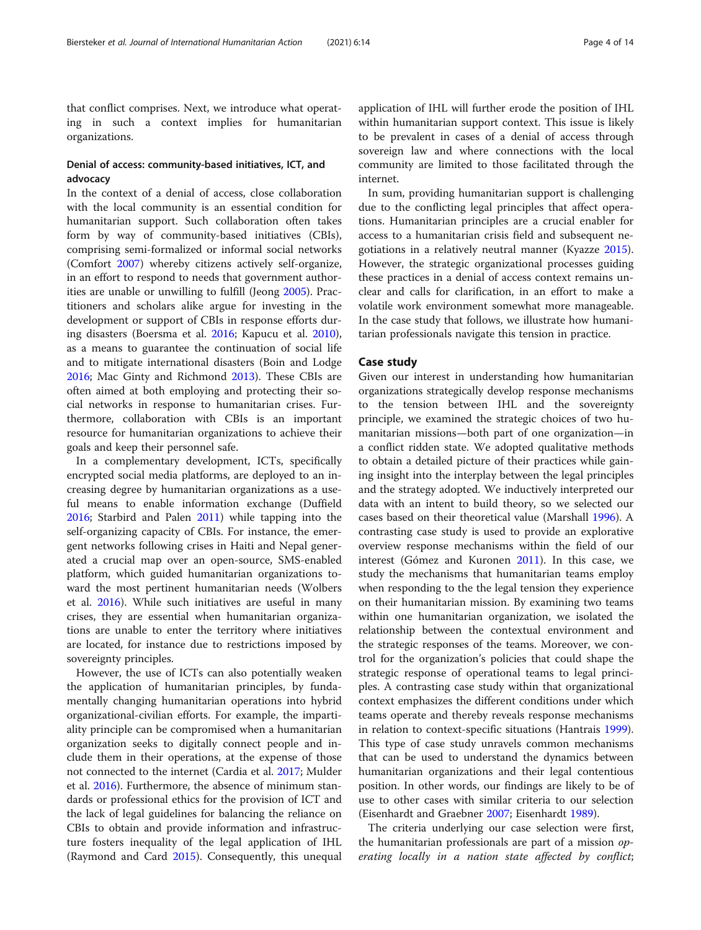that conflict comprises. Next, we introduce what operating in such a context implies for humanitarian organizations.

## Denial of access: community-based initiatives, ICT, and advocacy

In the context of a denial of access, close collaboration with the local community is an essential condition for humanitarian support. Such collaboration often takes form by way of community-based initiatives (CBIs), comprising semi-formalized or informal social networks (Comfort [2007](#page-14-0)) whereby citizens actively self-organize, in an effort to respond to needs that government authorities are unable or unwilling to fulfill (Jeong [2005](#page-14-0)). Practitioners and scholars alike argue for investing in the development or support of CBIs in response efforts during disasters (Boersma et al. [2016](#page-13-0); Kapucu et al. [2010](#page-14-0)), as a means to guarantee the continuation of social life and to mitigate international disasters (Boin and Lodge [2016](#page-13-0); Mac Ginty and Richmond [2013\)](#page-14-0). These CBIs are often aimed at both employing and protecting their social networks in response to humanitarian crises. Furthermore, collaboration with CBIs is an important resource for humanitarian organizations to achieve their goals and keep their personnel safe.

In a complementary development, ICTs, specifically encrypted social media platforms, are deployed to an increasing degree by humanitarian organizations as a useful means to enable information exchange (Duffield [2016](#page-14-0); Starbird and Palen [2011](#page-14-0)) while tapping into the self-organizing capacity of CBIs. For instance, the emergent networks following crises in Haiti and Nepal generated a crucial map over an open-source, SMS-enabled platform, which guided humanitarian organizations toward the most pertinent humanitarian needs (Wolbers et al. [2016](#page-14-0)). While such initiatives are useful in many crises, they are essential when humanitarian organizations are unable to enter the territory where initiatives are located, for instance due to restrictions imposed by sovereignty principles.

However, the use of ICTs can also potentially weaken the application of humanitarian principles, by fundamentally changing humanitarian operations into hybrid organizational-civilian efforts. For example, the impartiality principle can be compromised when a humanitarian organization seeks to digitally connect people and include them in their operations, at the expense of those not connected to the internet (Cardia et al. [2017](#page-14-0); Mulder et al. [2016](#page-14-0)). Furthermore, the absence of minimum standards or professional ethics for the provision of ICT and the lack of legal guidelines for balancing the reliance on CBIs to obtain and provide information and infrastructure fosters inequality of the legal application of IHL (Raymond and Card [2015\)](#page-14-0). Consequently, this unequal

application of IHL will further erode the position of IHL within humanitarian support context. This issue is likely to be prevalent in cases of a denial of access through sovereign law and where connections with the local community are limited to those facilitated through the internet.

In sum, providing humanitarian support is challenging due to the conflicting legal principles that affect operations. Humanitarian principles are a crucial enabler for access to a humanitarian crisis field and subsequent negotiations in a relatively neutral manner (Kyazze [2015](#page-14-0)). However, the strategic organizational processes guiding these practices in a denial of access context remains unclear and calls for clarification, in an effort to make a volatile work environment somewhat more manageable. In the case study that follows, we illustrate how humanitarian professionals navigate this tension in practice.

#### Case study

Given our interest in understanding how humanitarian organizations strategically develop response mechanisms to the tension between IHL and the sovereignty principle, we examined the strategic choices of two humanitarian missions—both part of one organization—in a conflict ridden state. We adopted qualitative methods to obtain a detailed picture of their practices while gaining insight into the interplay between the legal principles and the strategy adopted. We inductively interpreted our data with an intent to build theory, so we selected our cases based on their theoretical value (Marshall [1996](#page-14-0)). A contrasting case study is used to provide an explorative overview response mechanisms within the field of our interest (Gómez and Kuronen [2011\)](#page-14-0). In this case, we study the mechanisms that humanitarian teams employ when responding to the the legal tension they experience on their humanitarian mission. By examining two teams within one humanitarian organization, we isolated the relationship between the contextual environment and the strategic responses of the teams. Moreover, we control for the organization's policies that could shape the strategic response of operational teams to legal principles. A contrasting case study within that organizational context emphasizes the different conditions under which teams operate and thereby reveals response mechanisms in relation to context-specific situations (Hantrais [1999](#page-14-0)). This type of case study unravels common mechanisms that can be used to understand the dynamics between humanitarian organizations and their legal contentious position. In other words, our findings are likely to be of use to other cases with similar criteria to our selection (Eisenhardt and Graebner [2007](#page-14-0); Eisenhardt [1989](#page-14-0)).

The criteria underlying our case selection were first, the humanitarian professionals are part of a mission *op*erating locally in a nation state affected by conflict;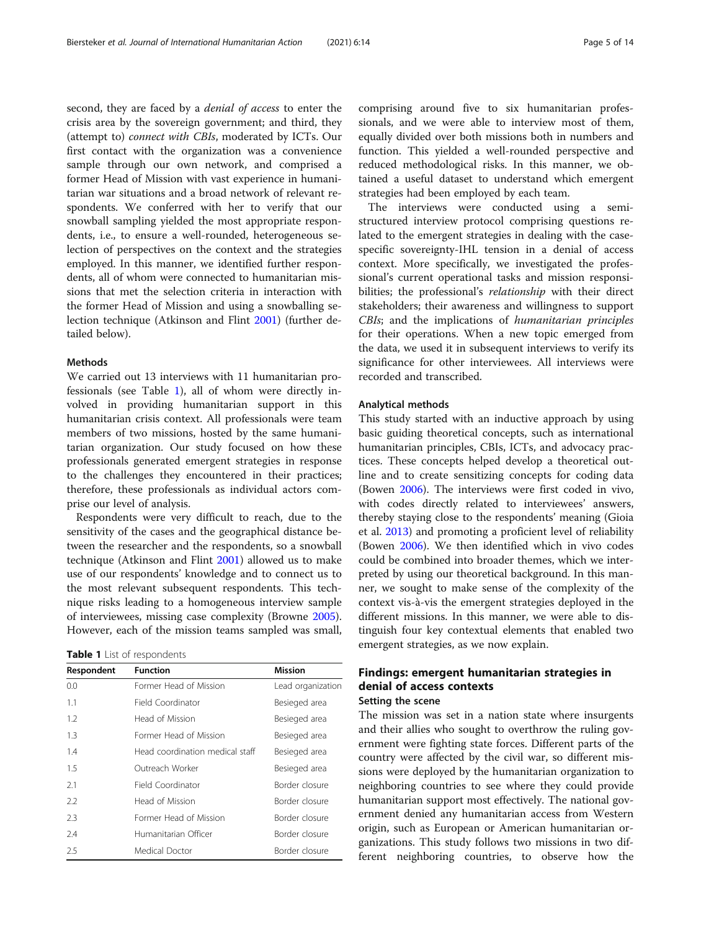second, they are faced by a *denial of access* to enter the crisis area by the sovereign government; and third, they (attempt to) connect with CBIs, moderated by ICTs. Our first contact with the organization was a convenience sample through our own network, and comprised a former Head of Mission with vast experience in humanitarian war situations and a broad network of relevant respondents. We conferred with her to verify that our snowball sampling yielded the most appropriate respondents, i.e., to ensure a well-rounded, heterogeneous selection of perspectives on the context and the strategies employed. In this manner, we identified further respondents, all of whom were connected to humanitarian missions that met the selection criteria in interaction with the former Head of Mission and using a snowballing selection technique (Atkinson and Flint [2001\)](#page-13-0) (further detailed below).

#### Methods

We carried out 13 interviews with 11 humanitarian professionals (see Table 1), all of whom were directly involved in providing humanitarian support in this humanitarian crisis context. All professionals were team members of two missions, hosted by the same humanitarian organization. Our study focused on how these professionals generated emergent strategies in response to the challenges they encountered in their practices; therefore, these professionals as individual actors comprise our level of analysis.

Respondents were very difficult to reach, due to the sensitivity of the cases and the geographical distance between the researcher and the respondents, so a snowball technique (Atkinson and Flint [2001\)](#page-13-0) allowed us to make use of our respondents' knowledge and to connect us to the most relevant subsequent respondents. This technique risks leading to a homogeneous interview sample of interviewees, missing case complexity (Browne [2005](#page-14-0)). However, each of the mission teams sampled was small,

| Respondent | <b>Function</b>                 | Mission           |
|------------|---------------------------------|-------------------|
| 0.0        | Former Head of Mission          | Lead organization |
| 1.1        | Field Coordinator               | Besieged area     |
| 1.2        | Head of Mission                 | Besieged area     |
| 1.3        | Former Head of Mission          | Besieged area     |
| 1.4        | Head coordination medical staff | Besieged area     |
| 1.5        | Outreach Worker                 | Besieged area     |
| 2.1        | Field Coordinator               | Border closure    |
| 2.2        | Head of Mission                 | Border closure    |
| 2.3        | Former Head of Mission          | Border closure    |
| 2.4        | Humanitarian Officer            | Border closure    |
| 2.5        | Medical Doctor                  | Border closure    |

The interviews were conducted using a semistructured interview protocol comprising questions related to the emergent strategies in dealing with the casespecific sovereignty-IHL tension in a denial of access context. More specifically, we investigated the professional's current operational tasks and mission responsibilities; the professional's *relationship* with their direct stakeholders; their awareness and willingness to support CBIs; and the implications of humanitarian principles for their operations. When a new topic emerged from the data, we used it in subsequent interviews to verify its significance for other interviewees. All interviews were recorded and transcribed.

strategies had been employed by each team.

#### Analytical methods

This study started with an inductive approach by using basic guiding theoretical concepts, such as international humanitarian principles, CBIs, ICTs, and advocacy practices. These concepts helped develop a theoretical outline and to create sensitizing concepts for coding data (Bowen [2006](#page-13-0)). The interviews were first coded in vivo, with codes directly related to interviewees' answers, thereby staying close to the respondents' meaning (Gioia et al. [2013](#page-14-0)) and promoting a proficient level of reliability (Bowen [2006\)](#page-13-0). We then identified which in vivo codes could be combined into broader themes, which we interpreted by using our theoretical background. In this manner, we sought to make sense of the complexity of the context vis-à-vis the emergent strategies deployed in the different missions. In this manner, we were able to distinguish four key contextual elements that enabled two emergent strategies, as we now explain.

# Findings: emergent humanitarian strategies in denial of access contexts

#### Setting the scene

The mission was set in a nation state where insurgents and their allies who sought to overthrow the ruling government were fighting state forces. Different parts of the country were affected by the civil war, so different missions were deployed by the humanitarian organization to neighboring countries to see where they could provide humanitarian support most effectively. The national government denied any humanitarian access from Western origin, such as European or American humanitarian organizations. This study follows two missions in two different neighboring countries, to observe how the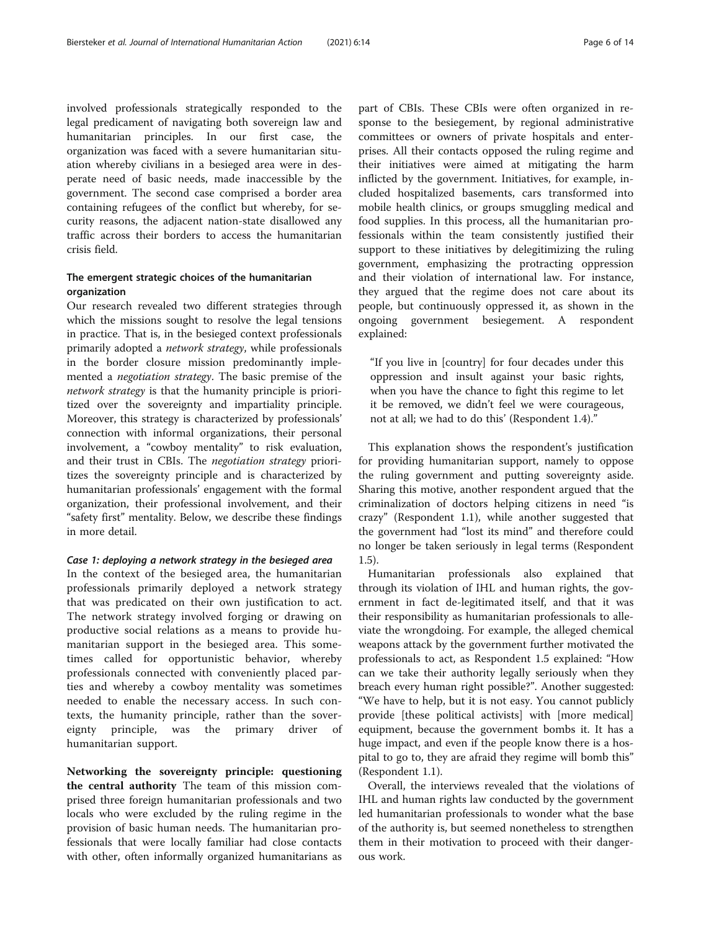involved professionals strategically responded to the legal predicament of navigating both sovereign law and humanitarian principles. In our first case, the organization was faced with a severe humanitarian situation whereby civilians in a besieged area were in desperate need of basic needs, made inaccessible by the government. The second case comprised a border area containing refugees of the conflict but whereby, for security reasons, the adjacent nation-state disallowed any traffic across their borders to access the humanitarian crisis field.

### The emergent strategic choices of the humanitarian organization

Our research revealed two different strategies through which the missions sought to resolve the legal tensions in practice. That is, in the besieged context professionals primarily adopted a network strategy, while professionals in the border closure mission predominantly implemented a negotiation strategy. The basic premise of the network strategy is that the humanity principle is prioritized over the sovereignty and impartiality principle. Moreover, this strategy is characterized by professionals' connection with informal organizations, their personal involvement, a "cowboy mentality" to risk evaluation, and their trust in CBIs. The negotiation strategy prioritizes the sovereignty principle and is characterized by humanitarian professionals' engagement with the formal organization, their professional involvement, and their "safety first" mentality. Below, we describe these findings in more detail.

#### Case 1: deploying a network strategy in the besieged area

In the context of the besieged area, the humanitarian professionals primarily deployed a network strategy that was predicated on their own justification to act. The network strategy involved forging or drawing on productive social relations as a means to provide humanitarian support in the besieged area. This sometimes called for opportunistic behavior, whereby professionals connected with conveniently placed parties and whereby a cowboy mentality was sometimes needed to enable the necessary access. In such contexts, the humanity principle, rather than the sovereignty principle, was the primary driver of humanitarian support.

Networking the sovereignty principle: questioning the central authority The team of this mission comprised three foreign humanitarian professionals and two locals who were excluded by the ruling regime in the provision of basic human needs. The humanitarian professionals that were locally familiar had close contacts with other, often informally organized humanitarians as

part of CBIs. These CBIs were often organized in response to the besiegement, by regional administrative committees or owners of private hospitals and enterprises. All their contacts opposed the ruling regime and their initiatives were aimed at mitigating the harm inflicted by the government. Initiatives, for example, included hospitalized basements, cars transformed into mobile health clinics, or groups smuggling medical and food supplies. In this process, all the humanitarian professionals within the team consistently justified their support to these initiatives by delegitimizing the ruling government, emphasizing the protracting oppression and their violation of international law. For instance, they argued that the regime does not care about its people, but continuously oppressed it, as shown in the ongoing government besiegement. A respondent explained:

"If you live in [country] for four decades under this oppression and insult against your basic rights, when you have the chance to fight this regime to let it be removed, we didn't feel we were courageous, not at all; we had to do this' (Respondent 1.4)."

This explanation shows the respondent's justification for providing humanitarian support, namely to oppose the ruling government and putting sovereignty aside. Sharing this motive, another respondent argued that the criminalization of doctors helping citizens in need "is crazy" (Respondent 1.1), while another suggested that the government had "lost its mind" and therefore could no longer be taken seriously in legal terms (Respondent 1.5).

Humanitarian professionals also explained that through its violation of IHL and human rights, the government in fact de-legitimated itself, and that it was their responsibility as humanitarian professionals to alleviate the wrongdoing. For example, the alleged chemical weapons attack by the government further motivated the professionals to act, as Respondent 1.5 explained: "How can we take their authority legally seriously when they breach every human right possible?". Another suggested: "We have to help, but it is not easy. You cannot publicly provide [these political activists] with [more medical] equipment, because the government bombs it. It has a huge impact, and even if the people know there is a hospital to go to, they are afraid they regime will bomb this" (Respondent 1.1).

Overall, the interviews revealed that the violations of IHL and human rights law conducted by the government led humanitarian professionals to wonder what the base of the authority is, but seemed nonetheless to strengthen them in their motivation to proceed with their dangerous work.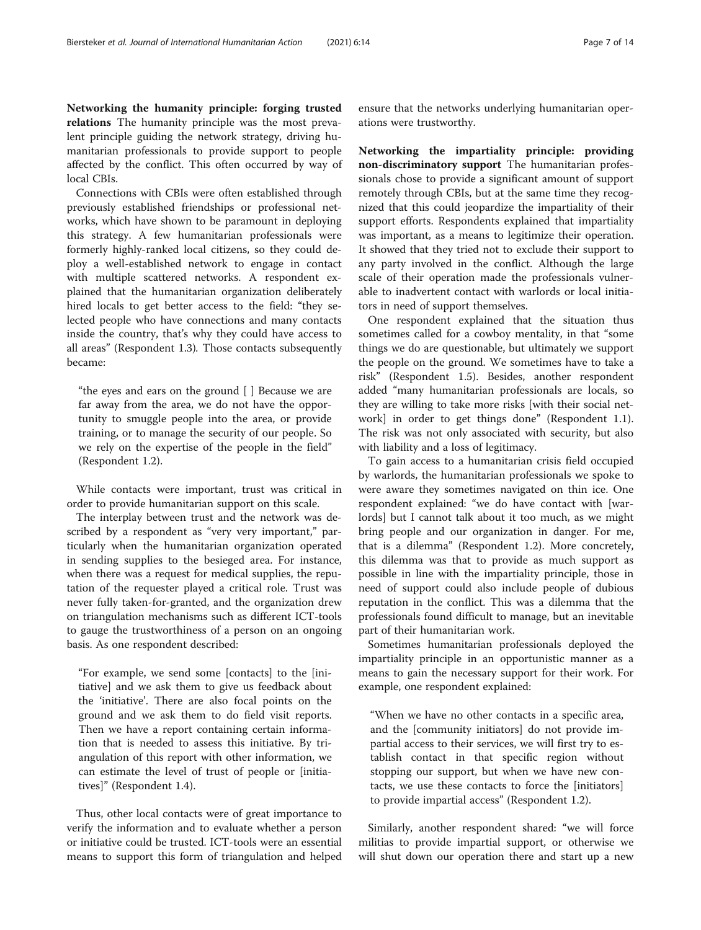Networking the humanity principle: forging trusted relations The humanity principle was the most prevalent principle guiding the network strategy, driving humanitarian professionals to provide support to people affected by the conflict. This often occurred by way of local CBIs.

Connections with CBIs were often established through previously established friendships or professional networks, which have shown to be paramount in deploying this strategy. A few humanitarian professionals were formerly highly-ranked local citizens, so they could deploy a well-established network to engage in contact with multiple scattered networks. A respondent explained that the humanitarian organization deliberately hired locals to get better access to the field: "they selected people who have connections and many contacts inside the country, that's why they could have access to all areas" (Respondent 1.3). Those contacts subsequently became:

"the eyes and ears on the ground [ ] Because we are far away from the area, we do not have the opportunity to smuggle people into the area, or provide training, or to manage the security of our people. So we rely on the expertise of the people in the field" (Respondent 1.2).

While contacts were important, trust was critical in order to provide humanitarian support on this scale.

The interplay between trust and the network was described by a respondent as "very very important," particularly when the humanitarian organization operated in sending supplies to the besieged area. For instance, when there was a request for medical supplies, the reputation of the requester played a critical role. Trust was never fully taken-for-granted, and the organization drew on triangulation mechanisms such as different ICT-tools to gauge the trustworthiness of a person on an ongoing basis. As one respondent described:

"For example, we send some [contacts] to the [initiative] and we ask them to give us feedback about the 'initiative'. There are also focal points on the ground and we ask them to do field visit reports. Then we have a report containing certain information that is needed to assess this initiative. By triangulation of this report with other information, we can estimate the level of trust of people or [initiatives]" (Respondent 1.4).

Thus, other local contacts were of great importance to verify the information and to evaluate whether a person or initiative could be trusted. ICT-tools were an essential means to support this form of triangulation and helped

ensure that the networks underlying humanitarian operations were trustworthy.

Networking the impartiality principle: providing non-discriminatory support The humanitarian professionals chose to provide a significant amount of support remotely through CBIs, but at the same time they recognized that this could jeopardize the impartiality of their support efforts. Respondents explained that impartiality was important, as a means to legitimize their operation. It showed that they tried not to exclude their support to any party involved in the conflict. Although the large scale of their operation made the professionals vulnerable to inadvertent contact with warlords or local initiators in need of support themselves.

One respondent explained that the situation thus sometimes called for a cowboy mentality, in that "some things we do are questionable, but ultimately we support the people on the ground. We sometimes have to take a risk" (Respondent 1.5). Besides, another respondent added "many humanitarian professionals are locals, so they are willing to take more risks [with their social network] in order to get things done" (Respondent 1.1). The risk was not only associated with security, but also with liability and a loss of legitimacy.

To gain access to a humanitarian crisis field occupied by warlords, the humanitarian professionals we spoke to were aware they sometimes navigated on thin ice. One respondent explained: "we do have contact with [warlords] but I cannot talk about it too much, as we might bring people and our organization in danger. For me, that is a dilemma" (Respondent 1.2). More concretely, this dilemma was that to provide as much support as possible in line with the impartiality principle, those in need of support could also include people of dubious reputation in the conflict. This was a dilemma that the professionals found difficult to manage, but an inevitable part of their humanitarian work.

Sometimes humanitarian professionals deployed the impartiality principle in an opportunistic manner as a means to gain the necessary support for their work. For example, one respondent explained:

"When we have no other contacts in a specific area, and the [community initiators] do not provide impartial access to their services, we will first try to establish contact in that specific region without stopping our support, but when we have new contacts, we use these contacts to force the [initiators] to provide impartial access" (Respondent 1.2).

Similarly, another respondent shared: "we will force militias to provide impartial support, or otherwise we will shut down our operation there and start up a new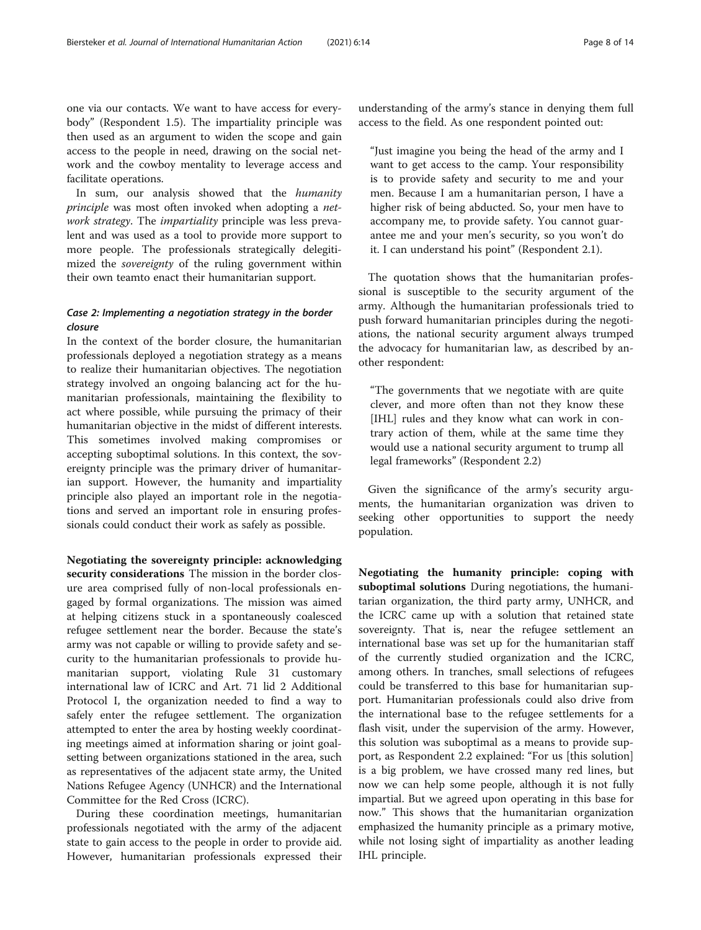one via our contacts. We want to have access for everybody" (Respondent 1.5). The impartiality principle was then used as an argument to widen the scope and gain access to the people in need, drawing on the social network and the cowboy mentality to leverage access and facilitate operations.

In sum, our analysis showed that the humanity principle was most often invoked when adopting a network strategy. The *impartiality* principle was less prevalent and was used as a tool to provide more support to more people. The professionals strategically delegitimized the sovereignty of the ruling government within their own teamto enact their humanitarian support.

## Case 2: Implementing a negotiation strategy in the border closure

In the context of the border closure, the humanitarian professionals deployed a negotiation strategy as a means to realize their humanitarian objectives. The negotiation strategy involved an ongoing balancing act for the humanitarian professionals, maintaining the flexibility to act where possible, while pursuing the primacy of their humanitarian objective in the midst of different interests. This sometimes involved making compromises or accepting suboptimal solutions. In this context, the sovereignty principle was the primary driver of humanitarian support. However, the humanity and impartiality principle also played an important role in the negotiations and served an important role in ensuring professionals could conduct their work as safely as possible.

Negotiating the sovereignty principle: acknowledging security considerations The mission in the border closure area comprised fully of non-local professionals engaged by formal organizations. The mission was aimed at helping citizens stuck in a spontaneously coalesced refugee settlement near the border. Because the state's army was not capable or willing to provide safety and security to the humanitarian professionals to provide humanitarian support, violating Rule 31 customary international law of ICRC and Art. 71 lid 2 Additional Protocol I, the organization needed to find a way to safely enter the refugee settlement. The organization attempted to enter the area by hosting weekly coordinating meetings aimed at information sharing or joint goalsetting between organizations stationed in the area, such as representatives of the adjacent state army, the United Nations Refugee Agency (UNHCR) and the International Committee for the Red Cross (ICRC).

During these coordination meetings, humanitarian professionals negotiated with the army of the adjacent state to gain access to the people in order to provide aid. However, humanitarian professionals expressed their understanding of the army's stance in denying them full access to the field. As one respondent pointed out:

"Just imagine you being the head of the army and I want to get access to the camp. Your responsibility is to provide safety and security to me and your men. Because I am a humanitarian person, I have a higher risk of being abducted. So, your men have to accompany me, to provide safety. You cannot guarantee me and your men's security, so you won't do it. I can understand his point" (Respondent 2.1).

The quotation shows that the humanitarian professional is susceptible to the security argument of the army. Although the humanitarian professionals tried to push forward humanitarian principles during the negotiations, the national security argument always trumped the advocacy for humanitarian law, as described by another respondent:

"The governments that we negotiate with are quite clever, and more often than not they know these [IHL] rules and they know what can work in contrary action of them, while at the same time they would use a national security argument to trump all legal frameworks" (Respondent 2.2)

Given the significance of the army's security arguments, the humanitarian organization was driven to seeking other opportunities to support the needy population.

Negotiating the humanity principle: coping with suboptimal solutions During negotiations, the humanitarian organization, the third party army, UNHCR, and the ICRC came up with a solution that retained state sovereignty. That is, near the refugee settlement an international base was set up for the humanitarian staff of the currently studied organization and the ICRC, among others. In tranches, small selections of refugees could be transferred to this base for humanitarian support. Humanitarian professionals could also drive from the international base to the refugee settlements for a flash visit, under the supervision of the army. However, this solution was suboptimal as a means to provide support, as Respondent 2.2 explained: "For us [this solution] is a big problem, we have crossed many red lines, but now we can help some people, although it is not fully impartial. But we agreed upon operating in this base for now." This shows that the humanitarian organization emphasized the humanity principle as a primary motive, while not losing sight of impartiality as another leading IHL principle.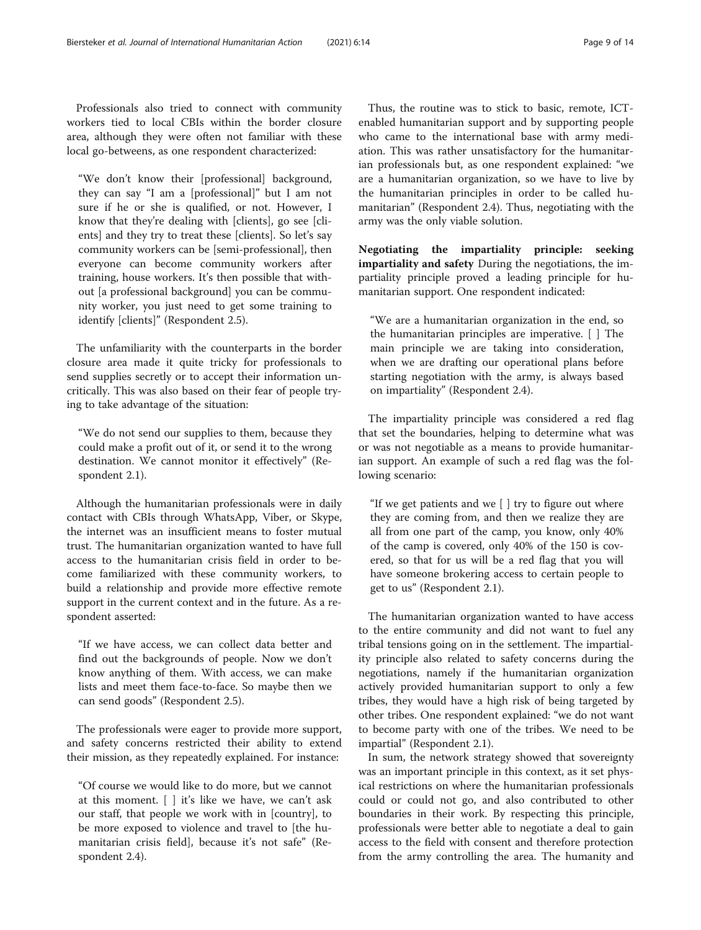Professionals also tried to connect with community workers tied to local CBIs within the border closure area, although they were often not familiar with these local go-betweens, as one respondent characterized:

"We don't know their [professional] background, they can say "I am a [professional]" but I am not sure if he or she is qualified, or not. However, I know that they're dealing with [clients], go see [clients] and they try to treat these [clients]. So let's say community workers can be [semi-professional], then everyone can become community workers after training, house workers. It's then possible that without [a professional background] you can be community worker, you just need to get some training to identify [clients]" (Respondent 2.5).

The unfamiliarity with the counterparts in the border closure area made it quite tricky for professionals to send supplies secretly or to accept their information uncritically. This was also based on their fear of people trying to take advantage of the situation:

"We do not send our supplies to them, because they could make a profit out of it, or send it to the wrong destination. We cannot monitor it effectively" (Respondent 2.1).

Although the humanitarian professionals were in daily contact with CBIs through WhatsApp, Viber, or Skype, the internet was an insufficient means to foster mutual trust. The humanitarian organization wanted to have full access to the humanitarian crisis field in order to become familiarized with these community workers, to build a relationship and provide more effective remote support in the current context and in the future. As a respondent asserted:

"If we have access, we can collect data better and find out the backgrounds of people. Now we don't know anything of them. With access, we can make lists and meet them face-to-face. So maybe then we can send goods" (Respondent 2.5).

The professionals were eager to provide more support, and safety concerns restricted their ability to extend their mission, as they repeatedly explained. For instance:

"Of course we would like to do more, but we cannot at this moment. [ ] it's like we have, we can't ask our staff, that people we work with in [country], to be more exposed to violence and travel to [the humanitarian crisis field], because it's not safe" (Respondent 2.4).

Thus, the routine was to stick to basic, remote, ICTenabled humanitarian support and by supporting people who came to the international base with army mediation. This was rather unsatisfactory for the humanitarian professionals but, as one respondent explained: "we are a humanitarian organization, so we have to live by the humanitarian principles in order to be called humanitarian" (Respondent 2.4). Thus, negotiating with the army was the only viable solution.

Negotiating the impartiality principle: seeking impartiality and safety During the negotiations, the impartiality principle proved a leading principle for humanitarian support. One respondent indicated:

"We are a humanitarian organization in the end, so the humanitarian principles are imperative. [ ] The main principle we are taking into consideration, when we are drafting our operational plans before starting negotiation with the army, is always based on impartiality" (Respondent 2.4).

The impartiality principle was considered a red flag that set the boundaries, helping to determine what was or was not negotiable as a means to provide humanitarian support. An example of such a red flag was the following scenario:

"If we get patients and we  $\lceil \cdot \rceil$  try to figure out where they are coming from, and then we realize they are all from one part of the camp, you know, only 40% of the camp is covered, only 40% of the 150 is covered, so that for us will be a red flag that you will have someone brokering access to certain people to get to us" (Respondent 2.1).

The humanitarian organization wanted to have access to the entire community and did not want to fuel any tribal tensions going on in the settlement. The impartiality principle also related to safety concerns during the negotiations, namely if the humanitarian organization actively provided humanitarian support to only a few tribes, they would have a high risk of being targeted by other tribes. One respondent explained: "we do not want to become party with one of the tribes. We need to be impartial" (Respondent 2.1).

In sum, the network strategy showed that sovereignty was an important principle in this context, as it set physical restrictions on where the humanitarian professionals could or could not go, and also contributed to other boundaries in their work. By respecting this principle, professionals were better able to negotiate a deal to gain access to the field with consent and therefore protection from the army controlling the area. The humanity and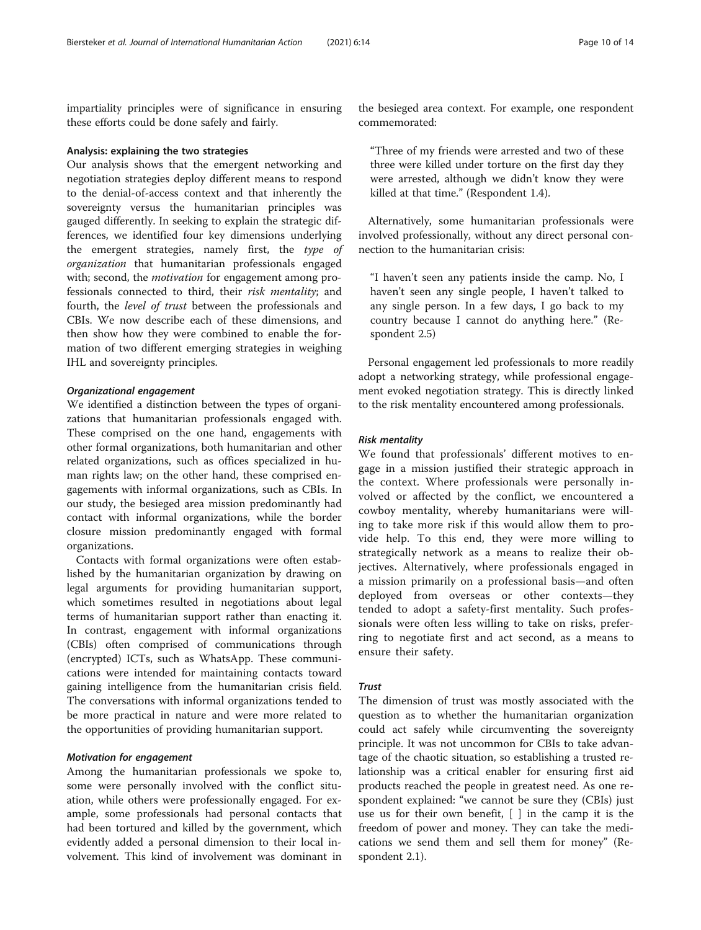impartiality principles were of significance in ensuring these efforts could be done safely and fairly.

#### Analysis: explaining the two strategies

Our analysis shows that the emergent networking and negotiation strategies deploy different means to respond to the denial-of-access context and that inherently the sovereignty versus the humanitarian principles was gauged differently. In seeking to explain the strategic differences, we identified four key dimensions underlying the emergent strategies, namely first, the type of organization that humanitarian professionals engaged with; second, the *motivation* for engagement among professionals connected to third, their risk mentality; and fourth, the level of trust between the professionals and CBIs. We now describe each of these dimensions, and then show how they were combined to enable the formation of two different emerging strategies in weighing IHL and sovereignty principles.

#### Organizational engagement

We identified a distinction between the types of organizations that humanitarian professionals engaged with. These comprised on the one hand, engagements with other formal organizations, both humanitarian and other related organizations, such as offices specialized in human rights law; on the other hand, these comprised engagements with informal organizations, such as CBIs. In our study, the besieged area mission predominantly had contact with informal organizations, while the border closure mission predominantly engaged with formal organizations.

Contacts with formal organizations were often established by the humanitarian organization by drawing on legal arguments for providing humanitarian support, which sometimes resulted in negotiations about legal terms of humanitarian support rather than enacting it. In contrast, engagement with informal organizations (CBIs) often comprised of communications through (encrypted) ICTs, such as WhatsApp. These communications were intended for maintaining contacts toward gaining intelligence from the humanitarian crisis field. The conversations with informal organizations tended to be more practical in nature and were more related to the opportunities of providing humanitarian support.

#### Motivation for engagement

Among the humanitarian professionals we spoke to, some were personally involved with the conflict situation, while others were professionally engaged. For example, some professionals had personal contacts that had been tortured and killed by the government, which evidently added a personal dimension to their local involvement. This kind of involvement was dominant in

the besieged area context. For example, one respondent commemorated:

"Three of my friends were arrested and two of these three were killed under torture on the first day they were arrested, although we didn't know they were killed at that time." (Respondent 1.4).

Alternatively, some humanitarian professionals were involved professionally, without any direct personal connection to the humanitarian crisis:

"I haven't seen any patients inside the camp. No, I haven't seen any single people, I haven't talked to any single person. In a few days, I go back to my country because I cannot do anything here." (Respondent 2.5)

Personal engagement led professionals to more readily adopt a networking strategy, while professional engagement evoked negotiation strategy. This is directly linked to the risk mentality encountered among professionals.

#### Risk mentality

We found that professionals' different motives to engage in a mission justified their strategic approach in the context. Where professionals were personally involved or affected by the conflict, we encountered a cowboy mentality, whereby humanitarians were willing to take more risk if this would allow them to provide help. To this end, they were more willing to strategically network as a means to realize their objectives. Alternatively, where professionals engaged in a mission primarily on a professional basis—and often deployed from overseas or other contexts—they tended to adopt a safety-first mentality. Such professionals were often less willing to take on risks, preferring to negotiate first and act second, as a means to ensure their safety.

#### Trust

The dimension of trust was mostly associated with the question as to whether the humanitarian organization could act safely while circumventing the sovereignty principle. It was not uncommon for CBIs to take advantage of the chaotic situation, so establishing a trusted relationship was a critical enabler for ensuring first aid products reached the people in greatest need. As one respondent explained: "we cannot be sure they (CBIs) just use us for their own benefit, [ ] in the camp it is the freedom of power and money. They can take the medications we send them and sell them for money" (Respondent 2.1).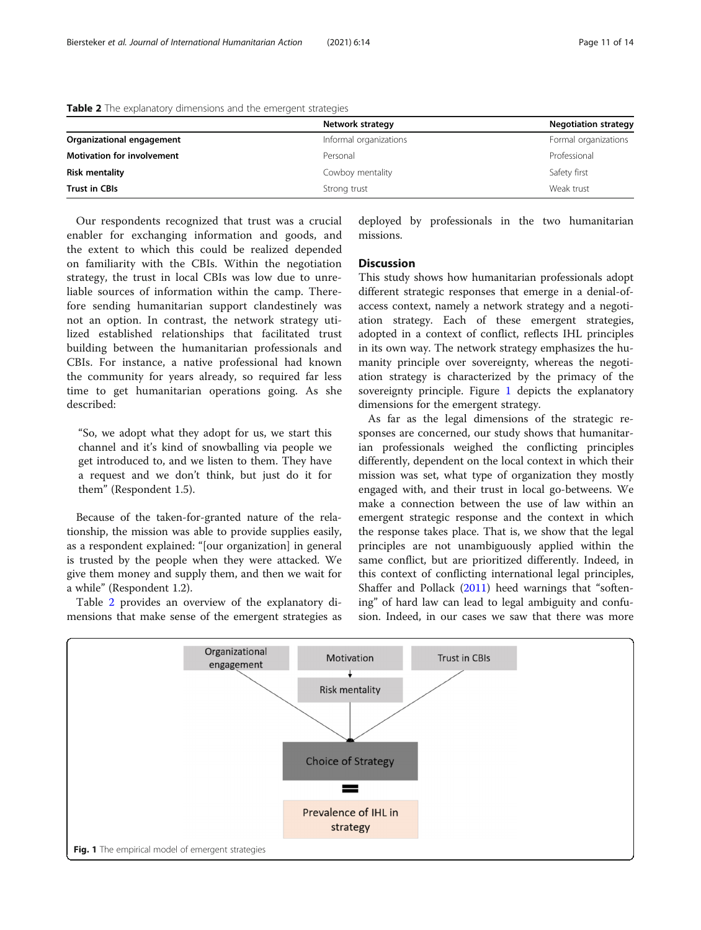|                                   | Network strategy<br><b>Negotiation strategy</b> |                      |
|-----------------------------------|-------------------------------------------------|----------------------|
| Organizational engagement         | Informal organizations                          | Formal organizations |
| <b>Motivation for involvement</b> | Personal                                        | Professional         |
| <b>Risk mentality</b>             | Cowboy mentality                                | Safety first         |
| <b>Trust in CBIs</b>              | Strong trust                                    | Weak trust           |

<span id="page-11-0"></span>Table 2 The explanatory dimensions and the emergent strategies

Our respondents recognized that trust was a crucial enabler for exchanging information and goods, and the extent to which this could be realized depended on familiarity with the CBIs. Within the negotiation strategy, the trust in local CBIs was low due to unreliable sources of information within the camp. Therefore sending humanitarian support clandestinely was not an option. In contrast, the network strategy utilized established relationships that facilitated trust building between the humanitarian professionals and CBIs. For instance, a native professional had known the community for years already, so required far less time to get humanitarian operations going. As she described:

"So, we adopt what they adopt for us, we start this channel and it's kind of snowballing via people we get introduced to, and we listen to them. They have a request and we don't think, but just do it for them" (Respondent 1.5).

Because of the taken-for-granted nature of the relationship, the mission was able to provide supplies easily, as a respondent explained: "[our organization] in general is trusted by the people when they were attacked. We give them money and supply them, and then we wait for a while" (Respondent 1.2).

Table 2 provides an overview of the explanatory dimensions that make sense of the emergent strategies as deployed by professionals in the two humanitarian missions.

#### **Discussion**

This study shows how humanitarian professionals adopt different strategic responses that emerge in a denial-ofaccess context, namely a network strategy and a negotiation strategy. Each of these emergent strategies, adopted in a context of conflict, reflects IHL principles in its own way. The network strategy emphasizes the humanity principle over sovereignty, whereas the negotiation strategy is characterized by the primacy of the sovereignty principle. Figure 1 depicts the explanatory dimensions for the emergent strategy.

As far as the legal dimensions of the strategic responses are concerned, our study shows that humanitarian professionals weighed the conflicting principles differently, dependent on the local context in which their mission was set, what type of organization they mostly engaged with, and their trust in local go-betweens. We make a connection between the use of law within an emergent strategic response and the context in which the response takes place. That is, we show that the legal principles are not unambiguously applied within the same conflict, but are prioritized differently. Indeed, in this context of conflicting international legal principles, Shaffer and Pollack [\(2011\)](#page-14-0) heed warnings that "softening" of hard law can lead to legal ambiguity and confusion. Indeed, in our cases we saw that there was more

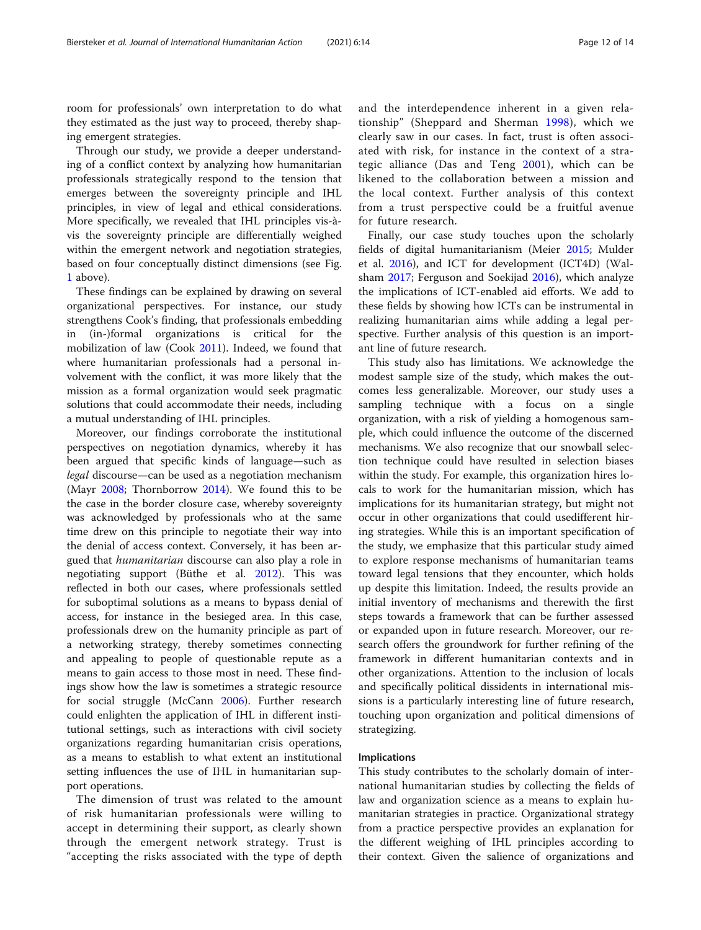room for professionals' own interpretation to do what they estimated as the just way to proceed, thereby shaping emergent strategies.

Through our study, we provide a deeper understanding of a conflict context by analyzing how humanitarian professionals strategically respond to the tension that emerges between the sovereignty principle and IHL principles, in view of legal and ethical considerations. More specifically, we revealed that IHL principles vis-àvis the sovereignty principle are differentially weighed within the emergent network and negotiation strategies, based on four conceptually distinct dimensions (see Fig. [1](#page-11-0) above).

These findings can be explained by drawing on several organizational perspectives. For instance, our study strengthens Cook's finding, that professionals embedding in (in-)formal organizations is critical for the mobilization of law (Cook [2011](#page-14-0)). Indeed, we found that where humanitarian professionals had a personal involvement with the conflict, it was more likely that the mission as a formal organization would seek pragmatic solutions that could accommodate their needs, including a mutual understanding of IHL principles.

Moreover, our findings corroborate the institutional perspectives on negotiation dynamics, whereby it has been argued that specific kinds of language—such as legal discourse—can be used as a negotiation mechanism (Mayr [2008;](#page-14-0) Thornborrow [2014\)](#page-14-0). We found this to be the case in the border closure case, whereby sovereignty was acknowledged by professionals who at the same time drew on this principle to negotiate their way into the denial of access context. Conversely, it has been argued that humanitarian discourse can also play a role in negotiating support (Büthe et al. [2012](#page-14-0)). This was reflected in both our cases, where professionals settled for suboptimal solutions as a means to bypass denial of access, for instance in the besieged area. In this case, professionals drew on the humanity principle as part of a networking strategy, thereby sometimes connecting and appealing to people of questionable repute as a means to gain access to those most in need. These findings show how the law is sometimes a strategic resource for social struggle (McCann [2006\)](#page-14-0). Further research could enlighten the application of IHL in different institutional settings, such as interactions with civil society organizations regarding humanitarian crisis operations, as a means to establish to what extent an institutional setting influences the use of IHL in humanitarian support operations.

The dimension of trust was related to the amount of risk humanitarian professionals were willing to accept in determining their support, as clearly shown through the emergent network strategy. Trust is "accepting the risks associated with the type of depth and the interdependence inherent in a given relationship" (Sheppard and Sherman [1998](#page-14-0)), which we clearly saw in our cases. In fact, trust is often associated with risk, for instance in the context of a strategic alliance (Das and Teng [2001\)](#page-14-0), which can be likened to the collaboration between a mission and the local context. Further analysis of this context from a trust perspective could be a fruitful avenue for future research.

Finally, our case study touches upon the scholarly fields of digital humanitarianism (Meier [2015](#page-14-0); Mulder et al. [2016\)](#page-14-0), and ICT for development (ICT4D) (Walsham [2017;](#page-14-0) Ferguson and Soekijad [2016\)](#page-14-0), which analyze the implications of ICT-enabled aid efforts. We add to these fields by showing how ICTs can be instrumental in realizing humanitarian aims while adding a legal perspective. Further analysis of this question is an important line of future research.

This study also has limitations. We acknowledge the modest sample size of the study, which makes the outcomes less generalizable. Moreover, our study uses a sampling technique with a focus on a single organization, with a risk of yielding a homogenous sample, which could influence the outcome of the discerned mechanisms. We also recognize that our snowball selection technique could have resulted in selection biases within the study. For example, this organization hires locals to work for the humanitarian mission, which has implications for its humanitarian strategy, but might not occur in other organizations that could usedifferent hiring strategies. While this is an important specification of the study, we emphasize that this particular study aimed to explore response mechanisms of humanitarian teams toward legal tensions that they encounter, which holds up despite this limitation. Indeed, the results provide an initial inventory of mechanisms and therewith the first steps towards a framework that can be further assessed or expanded upon in future research. Moreover, our research offers the groundwork for further refining of the framework in different humanitarian contexts and in other organizations. Attention to the inclusion of locals and specifically political dissidents in international missions is a particularly interesting line of future research, touching upon organization and political dimensions of strategizing.

#### Implications

This study contributes to the scholarly domain of international humanitarian studies by collecting the fields of law and organization science as a means to explain humanitarian strategies in practice. Organizational strategy from a practice perspective provides an explanation for the different weighing of IHL principles according to their context. Given the salience of organizations and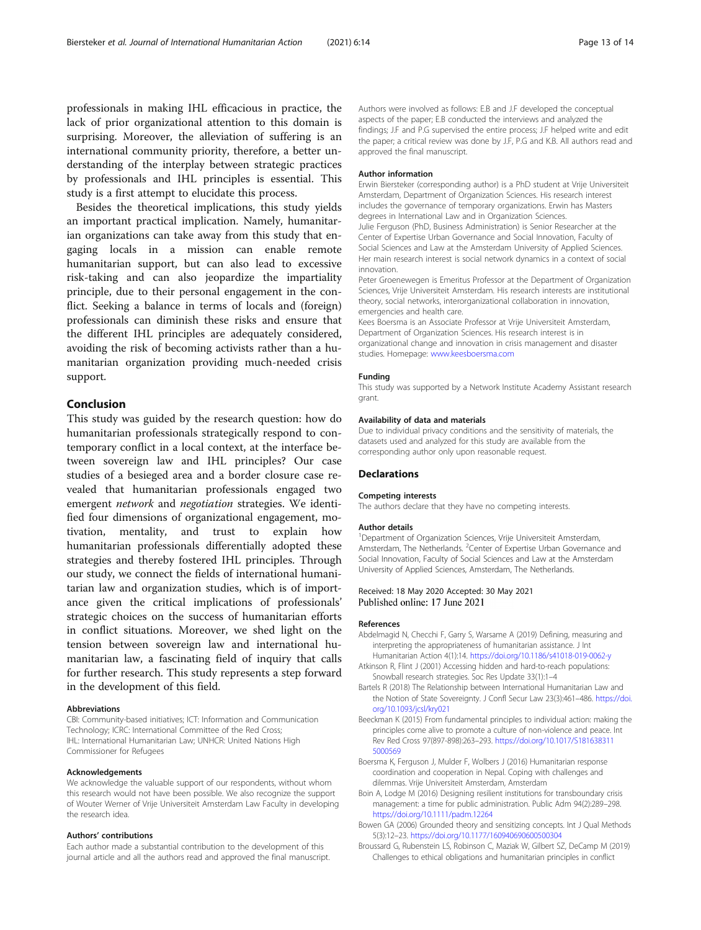<span id="page-13-0"></span>professionals in making IHL efficacious in practice, the lack of prior organizational attention to this domain is surprising. Moreover, the alleviation of suffering is an international community priority, therefore, a better understanding of the interplay between strategic practices by professionals and IHL principles is essential. This study is a first attempt to elucidate this process.

Besides the theoretical implications, this study yields an important practical implication. Namely, humanitarian organizations can take away from this study that engaging locals in a mission can enable remote humanitarian support, but can also lead to excessive risk-taking and can also jeopardize the impartiality principle, due to their personal engagement in the conflict. Seeking a balance in terms of locals and (foreign) professionals can diminish these risks and ensure that the different IHL principles are adequately considered, avoiding the risk of becoming activists rather than a humanitarian organization providing much-needed crisis support.

## Conclusion

This study was guided by the research question: how do humanitarian professionals strategically respond to contemporary conflict in a local context, at the interface between sovereign law and IHL principles? Our case studies of a besieged area and a border closure case revealed that humanitarian professionals engaged two emergent network and negotiation strategies. We identified four dimensions of organizational engagement, motivation, mentality, and trust to explain how humanitarian professionals differentially adopted these strategies and thereby fostered IHL principles. Through our study, we connect the fields of international humanitarian law and organization studies, which is of importance given the critical implications of professionals' strategic choices on the success of humanitarian efforts in conflict situations. Moreover, we shed light on the tension between sovereign law and international humanitarian law, a fascinating field of inquiry that calls for further research. This study represents a step forward in the development of this field.

#### Abbreviations

CBI: Community-based initiatives; ICT: Information and Communication Technology; ICRC: International Committee of the Red Cross; IHL: International Humanitarian Law; UNHCR: United Nations High Commissioner for Refugees

#### Acknowledgements

We acknowledge the valuable support of our respondents, without whom this research would not have been possible. We also recognize the support of Wouter Werner of Vrije Universiteit Amsterdam Law Faculty in developing the research idea.

#### Authors' contributions

Each author made a substantial contribution to the development of this journal article and all the authors read and approved the final manuscript. Authors were involved as follows: E.B and J.F developed the conceptual aspects of the paper; E.B conducted the interviews and analyzed the findings; J.F and P.G supervised the entire process; J.F helped write and edit the paper; a critical review was done by J.F, P.G and K.B. All authors read and approved the final manuscript.

#### Author information

Erwin Biersteker (corresponding author) is a PhD student at Vrije Universiteit Amsterdam, Department of Organization Sciences. His research interest includes the governance of temporary organizations. Erwin has Masters degrees in International Law and in Organization Sciences.

Julie Ferguson (PhD, Business Administration) is Senior Researcher at the Center of Expertise Urban Governance and Social Innovation, Faculty of Social Sciences and Law at the Amsterdam University of Applied Sciences. Her main research interest is social network dynamics in a context of social innovation.

Peter Groenewegen is Emeritus Professor at the Department of Organization Sciences, Vrije Universiteit Amsterdam. His research interests are institutional theory, social networks, interorganizational collaboration in innovation, emergencies and health care.

Kees Boersma is an Associate Professor at Vrije Universiteit Amsterdam, Department of Organization Sciences. His research interest is in organizational change and innovation in crisis management and disaster studies. Homepage: [www.keesboersma.com](http://www.keesboersma.com)

#### Funding

This study was supported by a Network Institute Academy Assistant research grant.

#### Availability of data and materials

Due to individual privacy conditions and the sensitivity of materials, the datasets used and analyzed for this study are available from the corresponding author only upon reasonable request.

#### **Declarations**

#### Competing interests

The authors declare that they have no competing interests.

#### Author details

<sup>1</sup>Department of Organization Sciences, Vrije Universiteit Amsterdam, Amsterdam, The Netherlands. <sup>2</sup> Center of Expertise Urban Governance and Social Innovation, Faculty of Social Sciences and Law at the Amsterdam University of Applied Sciences, Amsterdam, The Netherlands.

# Received: 18 May 2020 Accepted: 30 May 2021<br>Published online: 17 June 2021

#### References

- Abdelmagid N, Checchi F, Garry S, Warsame A (2019) Defining, measuring and interpreting the appropriateness of humanitarian assistance. J Int Humanitarian Action 4(1):14. <https://doi.org/10.1186/s41018-019-0062-y>
- Atkinson R, Flint J (2001) Accessing hidden and hard-to-reach populations: Snowball research strategies. Soc Res Update 33(1):1–4
- Bartels R (2018) The Relationship between International Humanitarian Law and the Notion of State Sovereignty. J Confl Secur Law 23(3):461–486. [https://doi.](https://doi.org/10.1093/jcsl/kry021) [org/10.1093/jcsl/kry021](https://doi.org/10.1093/jcsl/kry021)
- Beeckman K (2015) From fundamental principles to individual action: making the principles come alive to promote a culture of non-violence and peace. Int Rev Red Cross 97(897-898):263–293. [https://doi.org/10.1017/S181638311](https://doi.org/10.1017/S1816383115000569) [5000569](https://doi.org/10.1017/S1816383115000569)
- Boersma K, Ferguson J, Mulder F, Wolbers J (2016) Humanitarian response coordination and cooperation in Nepal. Coping with challenges and dilemmas. Vrije Universiteit Amsterdam, Amsterdam
- Boin A, Lodge M (2016) Designing resilient institutions for transboundary crisis management: a time for public administration. Public Adm 94(2):289–298. <https://doi.org/10.1111/padm.12264>
- Bowen GA (2006) Grounded theory and sensitizing concepts. Int J Qual Methods 5(3):12–23. <https://doi.org/10.1177/160940690600500304>
- Broussard G, Rubenstein LS, Robinson C, Maziak W, Gilbert SZ, DeCamp M (2019) Challenges to ethical obligations and humanitarian principles in conflict